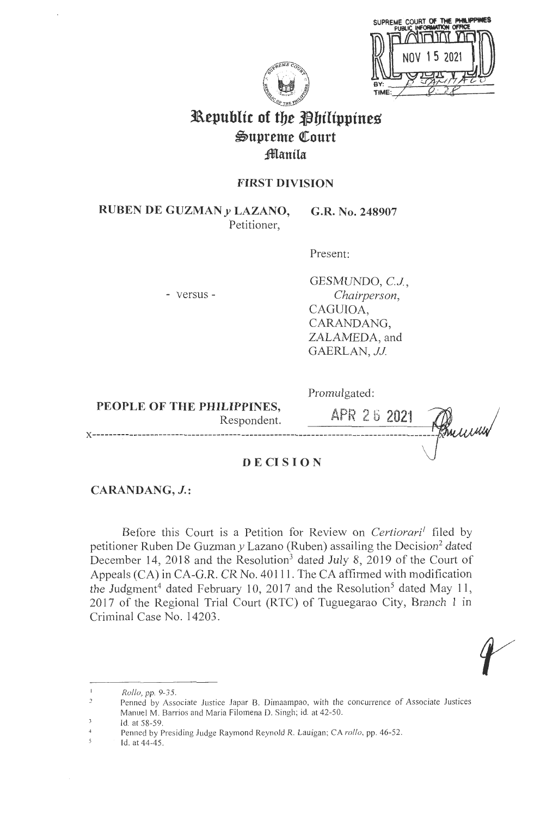|     | 38<br>SUPREME COURT OF THE PHI<br><b>VTON OFFICE</b><br><b>PUBLIC</b> |
|-----|-----------------------------------------------------------------------|
|     |                                                                       |
|     | 15 2021<br>NNV                                                        |
| BY: |                                                                       |
|     |                                                                       |



# **3L\epubltt of tbe ~biltppines**   $\mathfrak{Supreme}$  Court **;fflanila**

# **FIRST DIVISION**

**RUBEN DE GUZMAN y LAZANO,**  Petitioner, **G.R. No. 248907** 

Present:

- versus -

GESMUNDO, C.J., *Chairperson,*  CAGUIOA, CARANDANG, ZALAMEDA, and GAERLAN, JJ.

**PEOPLE OF THE PHILIPPINES,**  Respondent. Promulgated:

APR 26 2021 **x-----------------------------------------------------------------------------------**

## **DECISION**

# **CARANDANG, J.:**

Before this Court is a Petition for Review on *Certiorari<sup>1</sup>* filed by petitioner Ruben De Guzman y Lazano (Ruben) assailing the Decision<sup>2</sup> dated December 14, 2018 and the Resolution<sup>3</sup> dated July 8, 2019 of the Court of Appeals (CA) in CA-G.R. CR No.40111. The CA affirmed with modification the Judgment<sup>4</sup> dated February 10, 2017 and the Resolution<sup>5</sup> dated May 11, 2017 of the Regional Trial Court (RTC) of Tuguegarao City, Branch 1 in Criminal Case No. 14203.

 $\overline{\mathbf{3}}$ Id. at 58-59.

*Rollo,* pp. 9-35 .

Penned by Associate Justice Japar B. Dimaampao, with the concurrence of Associate Justices Manuel M. Barrios and Maria Filomena D. Singh; id. at 42-50.

 $\overline{4}$ Penned by Presiding Judge Raymond Reynold R. Lauigan; CA *rollo,* pp. 46-52.

 $\mathcal{S}_{\mathcal{S}}$ Id. at 44-45.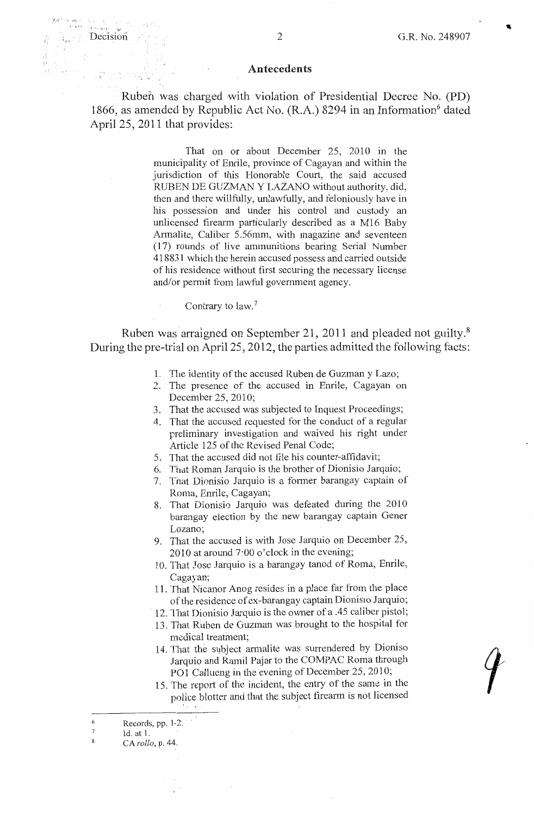#### Antecedents

Ruben was charged with violation of Presidential Decree No. **(PD)**  1866, as amended by Republic Act No.  $(R.A.)$  8294 in an Information<sup>6</sup> dated April 25, 2011 that provides:

> That on or about December 25, 2010 in the municipality of Emile, province of Cagayan and within the jurisdiction of this Honorable Court, the said accused RUBEN DE GUZMAN Y LAZANO without authority, did, then and there willfully, unlawfully, and feloniously have in his possession and under his control and custody an unlicensed firearm particularly described as a M16 Baby Armalite, Caliber 5.56mm, with magazine and seventeen (17) rounds of live ammunitions bearing Serial Number 418831 which the herein accused possess and carried outside of his residence without first securing the necessary license and/or permit from lawful government agency.

#### Contrary to law. 7

Ruben was arraigned on September 21, 2011 and pleaded not guilty.<sup>8</sup> During the pre-trial on April 25, 2012, the parties admitted the following facts:

- 1. The identity of the accused Ruben de Guzman y Lazo;
- 2. The presence of the accused in Emile, Cagayan on December 25, 2010;
- 3. That the accused was subjected to Inquest Proceedings;
- 4. That the accused requested for the conduct of a regular preliminary investigation and waived his right under Article 125 of the Revised Penal Code;
- 5. That the accused did not file his counter-affidavit;
- 6. Thdt Roman Jarquio is the brother of Dionisio Jarquio;
- 7. That Dionisio Jarquio is a former barangay captain of Roma, Emile, Cagayan;
- 8. That Dionisio Jarquio was defeated during the 2010 barangay election by the new barangay captain Gener Lozano;
- 9. That the accused is with Jose Jarquio on December 25, 2010 at around 7·00 o'clock in the evening;
- l 0. That Jose Jarquio is a barangay tanod of Roma, Emile, Cagayan;
- 11. That Nicanor Anog resides in a place far from the place of the residence of ex-barangay captain Dionisio Jarquio;
- 12. That Dionisio Jarquio is the owner of a .45 caliber pistol;
- 13. That Ruben de Guzman was brought to the hospital for medical treatment;
- 14. That the subject armalite was surrendered by Dioniso Jarquio and Ramil Pajar to the COMPAC Roma through POI Callueng in the evening of December 25, 2010;
- 15. The report of the incident, the entry of the same in the police blotter and that the subject firearm is not licensed

6

·< ~ ' . .-'

Records, pp. 1-2.

 $\overline{7}$ ld. at 1.

 $\mathbf{g}$ CA *rollo,* p. 44.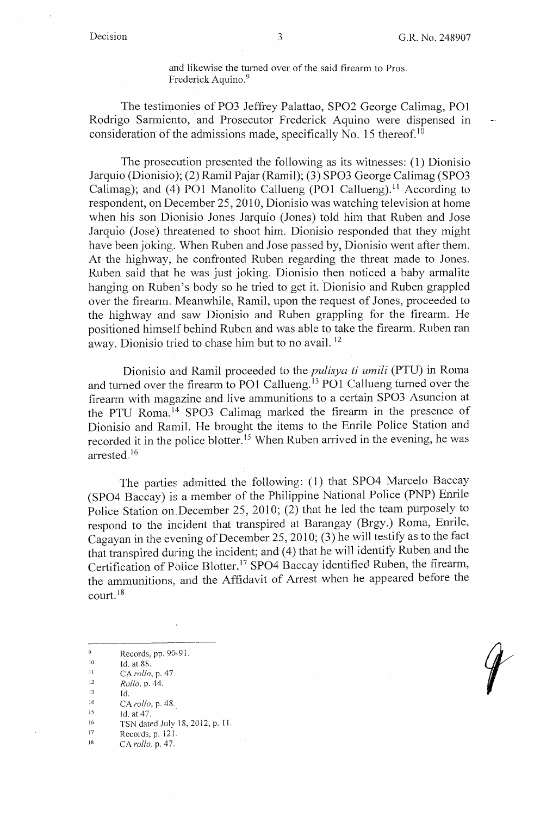and likewise the turned over of the said firearm to Pros. Frederick Aquino.<sup>9</sup>

The testimonies of PO3 Jeffrey Palattao, SPO2 George Calimag, PO1 Rodrigo Sarmiento, and Prosecutor Frederick Aquino were dispensed in consideration of the admissions made, specifically No. 15 thereof.<sup>10</sup>

The prosecution presented the following as its witnesses: (1) Dionisio Jarquio (Dionisio); (2) Ramil Pajar (Ramil); (3) SPO3 George Calimag (SPO3 Calimag); and (4) PO1 Manolito Callueng (PO1 Callueng).<sup>11</sup> According to respondent, on December 25, 2010, Dionisio was watching television at home when his son Dionisio Jones Jarquio (Jones) told him that Ruben and Jose Jarquio (Jose) threatened to shoot him. Dionisio responded that they might have been joking. When Ruben and Jose passed by, Dionisio went after them. At the highway, he confronted Ruben regarding the threat made to Jones. Ruben said that he was just joking. Dionisio then noticed a baby armalite hanging on Ruben's body so he tried to get it. Dionisio and Ruben grappled over the firearm. Meanwhile, Ramil, upon the request of Jones, proceeded to the highway and saw Dionisio and Ruben grappling for the firearm. He positioned himself behind Ruben and was able to take the firearm. Ruben ran away. Dionisio tried to chase him but to no avail. <sup>12</sup>

Dionisio and Ramil proceeded to the *pulisya ti umili* (PTU) in Roma and turned over the firearm to PO1 Callueng.<sup>13</sup> PO1 Callueng turned over the firearm with magazine and live ammunitions to a certain SPO3 Asuncion at the PTU Roma. 14 SPO3 Calimag marked the firearm in the presence of Dionisio and Ramil. He brought the items to the Enrile Police Station and recorded it in the police blotter.<sup>15</sup> When Ruben arrived in the evening, he was arrested. <sup>16</sup>

The parties admitted the following: (I) that SPO4 Marcelo Baccay (SPO4 Baccay) is a member of the Philippine National Poiice (PNP) Enrile Police Station on December 25, 2010; (2) that he led the team purposely to respond to the incident that transpired at Barangay (Brgy.) Roma, Enrile, Cagayan in the evening of December 25, 2010; (3) he will testify as to the fact that transpired during the incident; and (4) that he will identify Ruben and the Certification of Police Blotter. 17 SPO4 Baccay identified Ruben, the firearm, the ammunitions, and the Affidavit of Arrest when he appeared before the court. <sup>18</sup>

9 Records, pp. 90-91.

10 Id. at 8&.

II CA *rollo*, p. 47.

12 *Rollo,* p. 44.

13 Id.

14 CA *rollo,* p. 48 ..

15 Id. at 47.

16 TSN dated July 18, 2012, p. 11.

17 Records, p. 121

I 8 CA *rollo,* p. 47.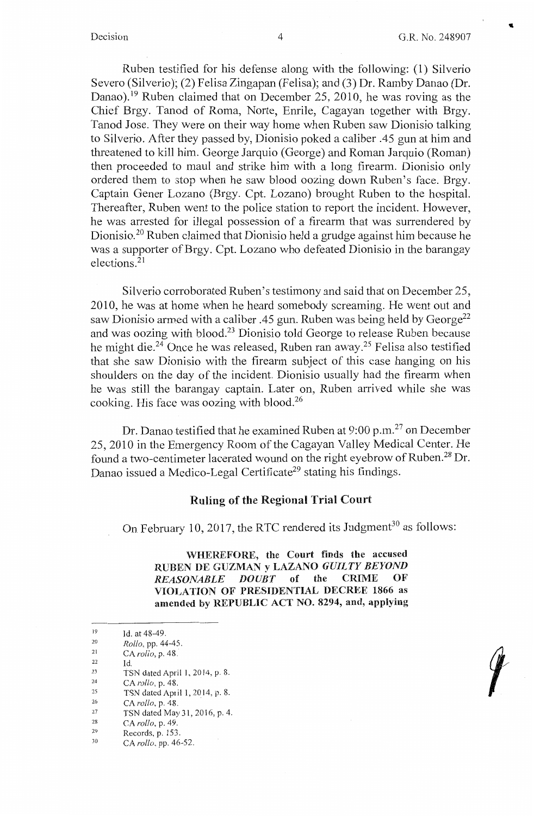..

 $\blacksquare$ 

Ruben testified for his defense along with the following: (1) Silverio Severo (Silverio); (2) Felisa Zingapan (Felisa); and (3) Dr. Ramby Danao (Dr. Danao).<sup>19</sup> Ruben claimed that on December 25, 2010, he was roving as the Chief Brgy. Tanod of Roma, Norte, Enrile, Cagayan together with Brgy. Tanod Jose. They were on their way home when Ruben saw Dionisio talking to Silverio. After they passed by, Dionisio poked a caliber .45 gun at him and threatened to kill him. George Jarquio (George) and Roman Jarquio (Roman) then proceeded to maul and strike him with a long firearm. Dionisio only ordered them to stop when he saw blood oozing down Ruben's face. Brgy. Captain Gener Lozano (Brgy. Cpt. Lozano) brought Ruben to the hospital. Thereafter, Ruben went to the police station to report the incident. However, he was arrested for illegal possession of a firearm that was surrendered by Dionisio.<sup>20</sup> Ruben claimed that Dionisio held a grudge against him because he was a supporter of Brgy. Cpt. Lozano who defeated Dionisio in the barangay elections. 21

Silverio corroborated Ruben's testimony and said that on December 25, 2010, he was at home when he heard somebody screaming. He went out and saw Dionisio armed with a caliber .45 gun. Ruben was being held by George<sup>22</sup> and was oozing with blood.23 Dionisio told George to release Ruben because he might die.<sup>24</sup> Once he was released, Ruben ran away.<sup>25</sup> Felisa also testified that she saw Dionisio with the firearm subject of this case hanging on his shoulders on the day of the incident. Dionisio usually had the firearm when he was still the barangay captain. Later on, Ruben arrived while she was cooking. His face was oozing with blood.<sup>26</sup>

Dr. Danao testified that he examined Ruben at 9 :00 p.m. 27 on December 25, 2010 in the Emergency Room of the Cagayan Valley Medical Center. He found a two-centimeter lacerated wound on the right eyebrow of Ruben.<sup>28</sup> Dr. Danao issued a Medico-Legal Certificate<sup>29</sup> stating his findings.

### **Ruling of the Regional Trial Court**

On February 10, 2017, the RTC rendered its Judgment<sup>30</sup> as follows:

**WHEREFORE, the Court finds the accused RUBEN DE GUZMAN y LAZANO** *GUILTY BEYOND REASONABLE DOUBT* **of the CRIME OF VIOLATION OF PRESIDENTIAL DECREE 1866 as amended by REPUBLIC ACT NO. 8294, and, applying** 

Id.

22

30 CA *rollo,* pp. 46-52.

<sup>19</sup>  ld. at 48-49.

<sup>20</sup>  *Rollo.* pp. 44-45.

<sup>21</sup>  CA *rollo*, p. 48.

<sup>23</sup>  TSN dated April I, 2014, p. 8.

<sup>24</sup>  CA *rollo,* p. 48.

<sup>25</sup>  TSN dated April I, 2014, p. 8.

<sup>26</sup>  CA *rollo,* p. 48.

<sup>27</sup>  TSN dated May 31, 2016, p. 4.

<sup>28</sup>  CA *rollo,* p. 49.

<sup>29</sup>  Records, p. 153.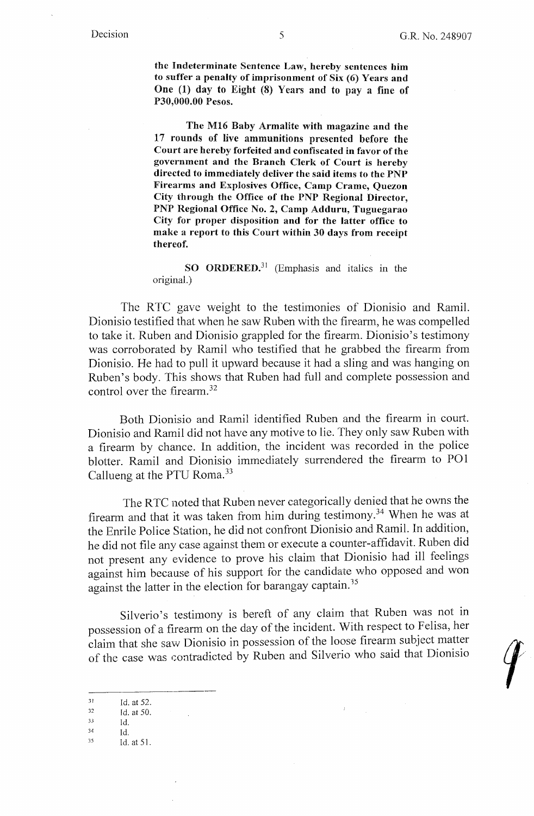**the Indeterminate Sentence Law, hereby sentences him to suffer a penalty of imprisonment of Six (6) Years and One (1) day to Eight (8) Years and to pay a fine of P30,000.00 Pesos.** 

**The M16 Baby Armalite with magazine and the 17 rounds of live ammunitions presented before the Court are hereby forfeited and confiscated in favor of the government and the Branch Clerk of Court is hereby directed to immediately deliver the said items to the PNP Firearms and Explosives Office, Camp Crame, Quezon City through the Office of the PNP Regional Director, PNP Regional Office No. 2, Camp Adduru, Tuguegarao City for proper disposition and for the latter office to make a report to this Court within 30 days from receipt thereof.** 

**SO ORDERED.<sup>31</sup>**(Emphasis and italics in the original.)

The RTC gave weight to the testimonies of Dionisio and Ramil. Dionisio testified that when he saw Ruben with the firearm, he was compelled to take it. Ruben and Dionisio grappled for the firearm. Dionisio's testimony was corroborated by Ramil who testified that he grabbed the firearm from Dionisio. He had to pull it upward because it had a sling and was hanging on Ruben's body. This shows that Ruben had full and complete possession and control over the firearm. 32

Both Dionisio and Ramil identified Ruben and the firearm in court. Dionisio and Ramil did not have any motive to lie. They only saw Ruben with a fireann by chance. In addition, the incident was recorded in the police blotter. Ramil and Dionisio immediately surrendered the firearm to PO1 Callueng at the PTU Roma.<sup>33</sup>

The RTC noted that Ruben never categorically denied that he owns the firearm and that it was taken from him during testimony. 34 When he was at the Enrile Police Station, he did not confront Dionisio and Ramil. In addition, he did not file any case against them or execute a counter-affidavit. Ruben did not present any evidence to prove his claim that Dionisio had ill feelings against him because of his support for the candidate who opposed and won against the latter in the election for barangay captain.<sup>35</sup>

Silverio's testimony is bereft of any claim that Ruben was not in possession of a firearm on the day of the incident. With respect to Felisa, her claim that she saw Dionisio in possession of the loose firearm subject matter of the case was contradicted by Ruben and Silverio who said that Dionisio

<sup>&</sup>lt;sup>31</sup> Id. at 52.<br><sup>32</sup> Id. at 50.

*<sup>33</sup>* Id. 34 Id. 35 Id. at 51.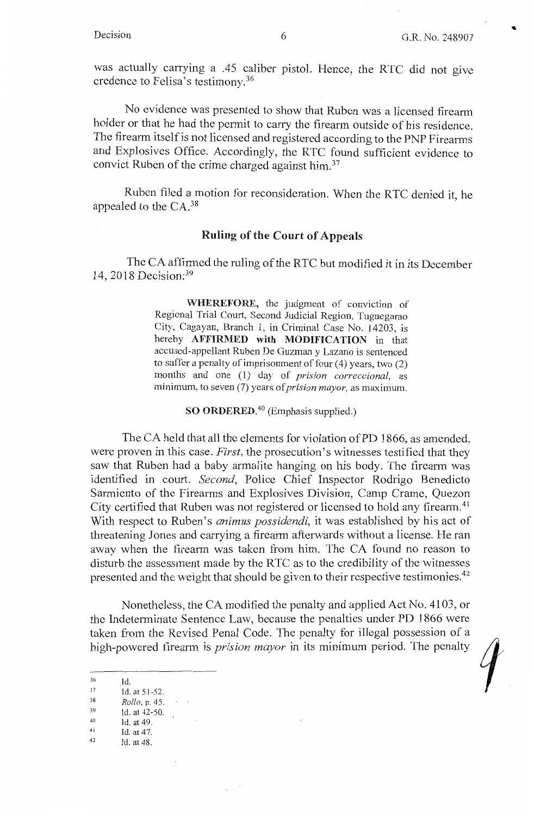was actually carrying a .45 caliber pistol. Hence, the RTC did not give credence to Felisa's testimony.<sup>36</sup>

No evidence was presented to show that Ruben was a licensed firearm holder or that he had the permit to carry the firearm outside of his residence. The firearm itself is not licensed and registered according to the PNP Firearms and Explosives Office. Accordingly, the RTC found sufficient evidence to convict Ruben of the crime charged against him.<sup>37</sup>

Ruben filed a motion for reconsideration. When the RTC denied it, he appealed to the  $CA.^38$ 

# Ruling of the Court of Appeals

The CA affirmed the ruling of the RTC but modified it in its December 14, 2018 Decision: <sup>39</sup>

> **WHEREFORE,** the judgment of conviction of Regional Trial Court, Second Judicial Region, Tuguegarao City, Cagayan, Branch 1, in Criminal Case No. 14203, is hereby **AFFIRMED with MODIFICATION** in that accused-appellant Ruben De Guzman y Lazano is sentenced to suffer a penalty of imprisonment of four  $(4)$  years, two  $(2)$ months and one (1) day of *prision correccional,* as minimum, to seven (7) years of *prision mayor,* as maximum.

> > **SO ORDERED.<sup>40</sup>**(Emphasis supplied.)

The CA held that all the elements for violation of PD 1866, as amended, were proven in this case. *First,* the prosecution's witnesses testified that they saw that Ruben had a baby armalite hanging on his body. The firearm was identified in court. *Second,* Police Chief Inspector Rodrigo Benedicto Sarmiento of the Firearms and Explosives Division, Camp Crame, Quezon City certified that Ruben was not registered or licensed to hold any firearm. <sup>41</sup> With respect to Ruben's *animus possidendi,* it was established by his act of threatening Jones and carrying a firearm afterwards without a license. He ran away when the firearm was taken from him. The CA found no reason to disturb the assessment made by the RTC as to the credibility of the witnesses presented and the weight that should be given to their respective testimonies.<sup>42</sup>

Nonetheless, the CA modified the penalty and applied Act No. 4103, or the Indeterminate Sentence Law, because the penalties under PD 1866 were taken from the Revised Penal Code. The penalty for illegal possession of a high-powered fireann is *prision mayor* in its minimum period. The penalty

- 36 Id.<br>
37 Id. at 51-52.<br>
38 *Rollo*, p. 45.<br>
39 Id. at 42-50.<br>
40 Id. at 49.<br>
42 Id. at 48.
- 
-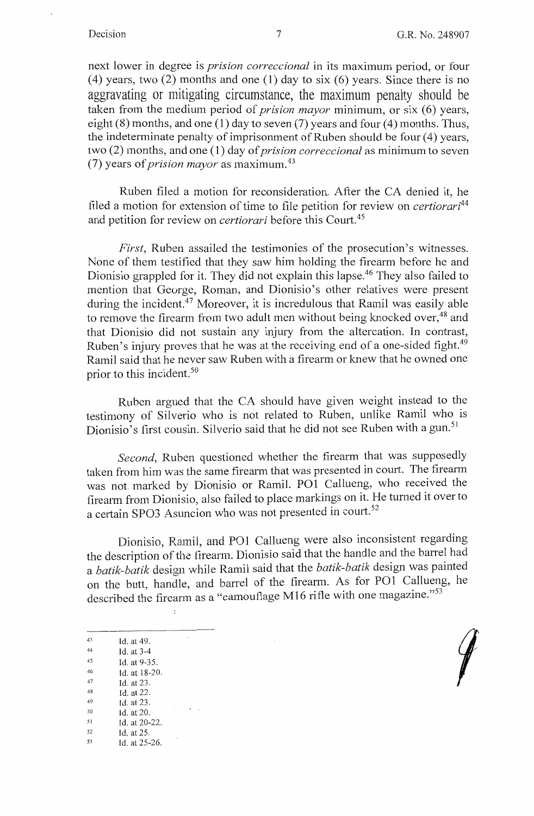next lower in degree is *prision correccional* in its maximum period, or four (4) years, two (2) months and one (1) day to six (6) years. Since there is no aggravating or mitigating circumstance, the maximum penalty should be taken from the medium period of *prision mayor* minimum, or six (6) years, eight  $(8)$  months, and one  $(1)$  day to seven  $(7)$  years and four  $(4)$  months. Thus, the indeterminate penalty of imprisonment of Ruben should be four (4) years, two (2) months, and one (1) day of *prision correccional* as minimum to seven (7) years of *prision mayor* as maximum. <sup>43</sup>

Ruben filed a motion for reconsideration. After the CA denied it, he filed a motion for extension of time to file petition for review on *certiorari<sup>44</sup>* and petition for review on *certiorari* before this Court. 45

*First*, Ruben assailed the testimonies of the prosecution's witnesses. None of them testified that they saw him holding the firearm before he and Dionisio grappled for it. They did not explain this lapse.<sup>46</sup> They also failed to mention that George, Roman, and Dionisio's other relatives were present during the incident.  $47$  Moreover, it is incredulous that Ramil was easily able to remove the firearm from two adult men without being knocked over.<sup>48</sup> and that Dionisio did not sustain any injury from the altercation. In contrast, Ruben's injury proves that he was at the receiving end of a one-sided fight.<sup>49</sup> Ramil said that he never saw Ruben with a firearm or knew that he owned one prior to this incident. 50

Ruben argued that the CA should have given weight instead to the testimony of Silverio who is not related to Ruben, unlike Ramil who is Dionisio's first cousin. Silverio said that he did not see Ruben with a gun.<sup>51</sup>

*Second,* Ruben questioned whether the firearm that was supposedly taken from him was the same firearm that was presented in court. The firearm was not marked by Dionisio or Ramil.  $PO1$  Callueng, who received the firearm from Dionisio, also failed to place markings on it. He turned it over to a certain SPO3 Asuncion who was not presented in court.<sup>52</sup>

Dionisio, Ramil, and PO1 Callueng were also inconsistent regarding the description of the firearm. Dionisio said that the handle and the barrel had a *batik-batik* design while Ramil said that the *batik-batik* design was painted on the butt, handle, and barrel of the firearm. As for PO1 Callueng, he described the firearm as a "camouflage M16 rifle with one magazine." $53$ 

43 Id. at 49.<br>44 Id. at  $3-4$ <br>45 Id. at  $9-3$ Id. at 9-35. 46 Id. at 18-20.<br>
47 Id. at 23.<br>
48 Id. at 22.<br>
49 Id. at 23.<br>
50 Id. at 20.<br>
51 Id. at 20-22.<br>
52 Id. at 25.<br>
53 Id. at 25-26.

 $\ddot{\phantom{0}}$ 

 $\overline{\phantom{a}}$ 

 $\tau$  .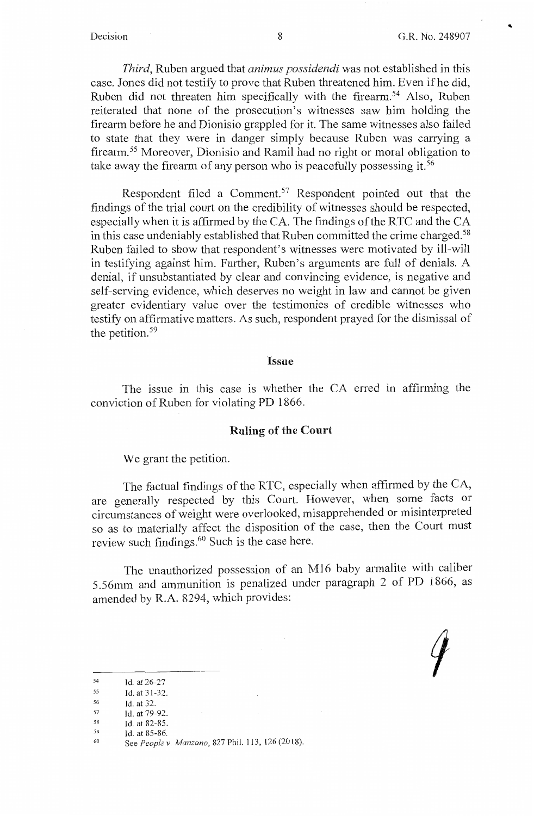*Third,* Ruben argued that *animus possidendi* was not established in this case. Jones did not testify to prove that Ruben threatened him. Even ifhe did, Ruben did not threaten him specifically with the firearm.<sup>54</sup> Also, Ruben reiterated that none of the prosecution's witnesses saw him holding the firearm before he and Dionisio grappled for it. The same witnesses also failed to state that they were in danger simply because Ruben was carrying a firearm.<sup>55</sup> Moreover, Dionisio and Ramil had no right or moral obligation to take away the firearm of any person who is peacefully possessing it.<sup>56</sup>

Respondent filed a Comment.<sup>57</sup> Respondent pointed out that the findings of the trial court on the credibility of witnesses should be respected, especially when it is affirmed by the CA. The findings of the RTC and the CA in this case undeniably established that Ruben committed the crime charged.<sup>58</sup> Ruben failed to show that respondent's witnesses were motivated by ill-will in testifying against him. Further, Ruben's arguments are full of denials. A denial, if unsubstantiated by clear and convincing evidence, is negative and self-serving evidence, which deserves no weight in law and cannot be given greater evidentiary value over the testimonies of credible witnesses who testify on affirmative matters. As such, respondent prayed for the dismissal of the petition.<sup>59</sup>

#### **Issue**

The issue in this case is whether the CA erred in affirming the conviction of Ruben for violating PD 1866.

### **Ruling of the Court**

We grant the petition.

The factual findings of the RTC, especially when affirmed by the CA, are generally respected by this Court. However, when some facts or circumstances of weight were overlooked, misapprehended or misinterpreted so as to materially affect the disposition of the case, then the Court must review such findings. 60 Such is the case here.

The unauthorized possession of an M16 baby armalite with caliber 5.56mm and ammunition is penalized under paragraph 2 of PD 1866, as amended by R.A. 8294, which provides:

<sup>54</sup>  Id. at 26-27

<sup>55</sup>  Id. at 31-32.

<sup>56</sup>  Id. at 32.

<sup>57</sup>  58 Id. at 79-92.

<sup>59</sup>  Id. at 82-85.

Id. at 85-86.

<sup>60</sup>  See *People v. Manzano,* 827 Phil. 113, 126(2018).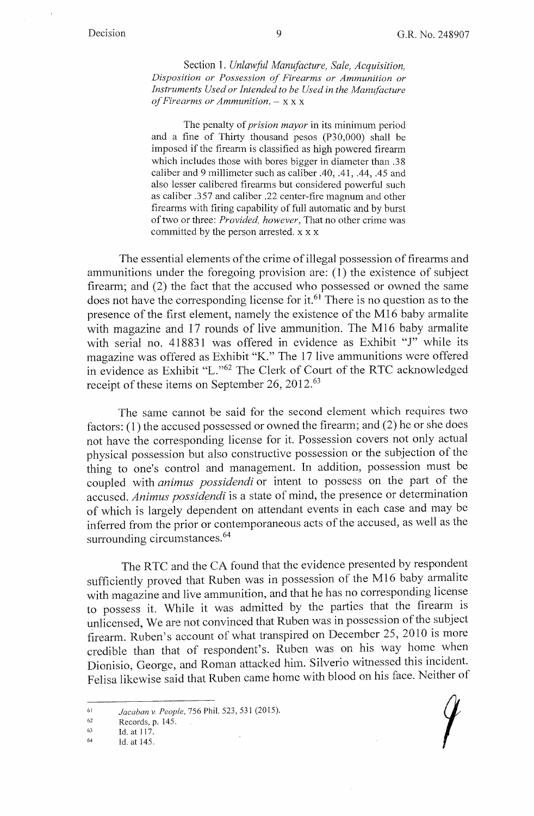Section 1. *Unlawful Manufacture, Sale, Acquisition, Disposition or Possession of Firearms or Ammunition or*  Instruments Used or Intended to be Used in the Manufacture *of Firearms or Ammunition.* - x x x

The penalty of *prision mayor* in its minimum period and a fine of Thirty thousand pesos (P30,000) shall be imposed if the firearm is classified as high powered firearm which includes those with bores bigger in diameter than .38 caliber and 9 millimeter such as caliber .40, .41, .44, .45 and also lesser calibered firearms but considered powerful such as caliber .357 and caliber .22 center-fire magnum and other firearms with firing capability of full automatic and by burst of two or three: *Provided, however,* That no other crime was committed by the person arrested. x x x

The essential elements of the crime of illegal possession of firearms and ammunitions under the foregoing provision are: (1) the existence of subject firearm; and (2) the fact that the accused who possessed or owned the same does not have the corresponding license for it.<sup>61</sup> There is no question as to the presence of the first element, namely the existence of the M16 baby armalite with magazine and 17 rounds of live ammunition. The M16 baby armalite with serial no. 418831 was offered in evidence as Exhibit "J" while its magazine was offered as Exhibit "K." The 17 live ammunitions were offered in evidence as Exhibit "L."<sup>62</sup> The Clerk of Court of the RTC acknowledged receipt of these items on September 26, 2012.<sup>63</sup>

The same cannot be said for the second element which requires two factors: (1) the accused possessed or owned the firearm; and (2) he or she does not have the corresponding license for it. Possession covers not only actual physical possession but also constructive possession or the subjection of the thing to one's control and management. In addition, possession must be coupled with *animus possidendi* or intent to possess on the part of the accused. *Animus possidendi* is a state of mind, the presence or determination of which is largely dependent on attendant events in each case and may be inferred from the prior or contemporaneous acts of the accused, as well as the surrounding circumstances.<sup>64</sup>

The RTC and the CA found that the evidence presented by respondent sufficiently proved that Ruben was in possession of the M16 baby armalite with magazine and live ammunition, and that he has no corresponding license to possess it. While it was admitted by the parties that the firearm is unlicensed, We are not convinced that Ruben was in possession of the subject firearm. Ruben's account of what transpired on December 25, 2010 is more credible than that of respondent's. Ruben was on his way home when Dionisio, George, and Roman attacked him. Silverio witnessed this incident. Felisa likewise said that Ruben came home with blood on his face. Neither of

<sup>6)</sup>  *Jacaban v. People,* 756 Phil. 523, 531 (2015).

<sup>62</sup>  Records, p. 145.

<sup>63</sup>  Id. at 117.

<sup>64</sup>  Id. at 145.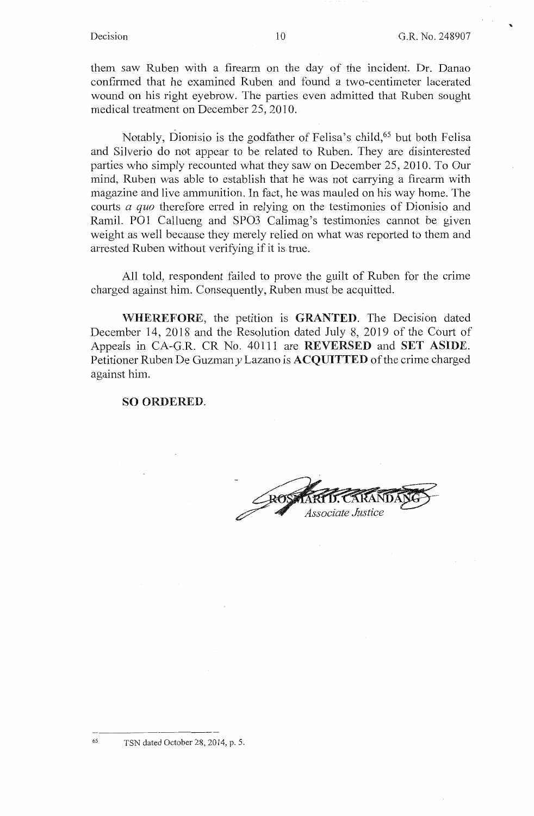...

them saw Ruben with a firearm on the day of the incident. Dr. Danao confirmed that he examined Ruben and found a two-centimeter lacerated wound on his right eyebrow. The parties even admitted that Ruben sought medical treatment on December 25,2010.

Notably, Dionisio is the godfather of Felisa's child,<sup>65</sup> but both Felisa and Silverio do not appear to be related to Ruben. They are disinterested parties who simply recounted what they saw on December 25, 2010. To Our mind, Ruben was able to establish that he was not carrying a firearm with magazine and live ammunition. In fact, he was mauled on his way home. The courts *a quo* therefore erred in relying on the testimonies of Dionisio and Ramil. POI Callueng and SPO3 Calimag's testimonies cannot be given weight as well because they merely relied on what was reported to them and arrested Ruben without verifying if it is true.

All told, respondent failed to prove the guilt of Ruben for the crime charged against him. Consequently, Ruben must be acquitted.

**WHEREFORE, the petition is <b>GRANTED**. The Decision dated December 14, 2018 and the Resolution dated July 8, 2019 of the Court of Appeals in CA-G.R. CR No. 40111 are **REVERSED** and **SET ASIDE.**  Petitioner Ruben De Guzmany Lazano is **ACQUITTED** of the crime charged against him.

### **SO ORDERED.**

Associate Justice